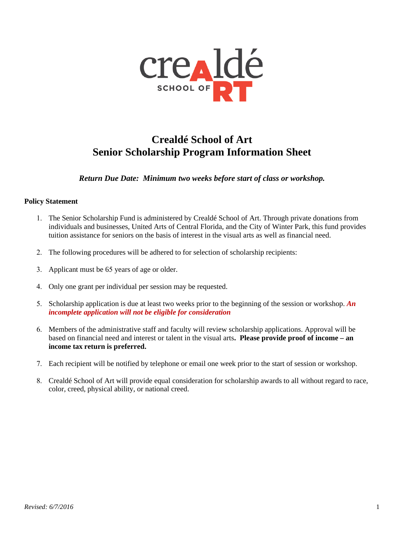

## **Crealdé School of Art Senior Scholarship Program Information Sheet**

*Return Due Date: Minimum two weeks before start of class or workshop.* 

## **Policy Statement**

- 1. The Senior Scholarship Fund is administered by Crealdé School of Art. Through private donations from individuals and businesses, United Arts of Central Florida, and the City of Winter Park, this fund provides tuition assistance for seniors on the basis of interest in the visual arts as well as financial need.
- 2. The following procedures will be adhered to for selection of scholarship recipients:
- 3. Applicant must be 65 years of age or older.
- 4. Only one grant per individual per session may be requested.
- 5. Scholarship application is due at least two weeks prior to the beginning of the session or workshop. *An incomplete application will not be eligible for consideration*
- 6. Members of the administrative staff and faculty will review scholarship applications. Approval will be based on financial need and interest or talent in the visual arts**. Please provide proof of income – an income tax return is preferred.**
- 7. Each recipient will be notified by telephone or email one week prior to the start of session or workshop.
- 8. Crealdé School of Art will provide equal consideration for scholarship awards to all without regard to race, color, creed, physical ability, or national creed.